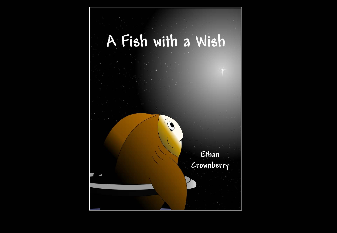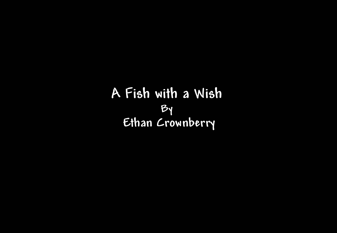**A Fish with a WishBy Ethan Crownberry**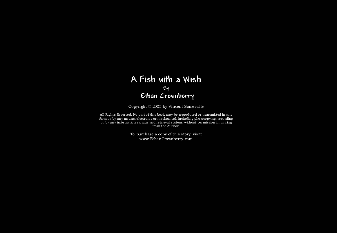## **A Fish with a WishBy Ethan Crownberry**

Copyright © 2005 by Vincent Somerville

All Rights Reserved. No part of this book may be reproduced or transmitted in any form or by any means, electronic or mechanical, including photocopying, recording or by any information storage and retrieval system, without permission in writing from the Author.

> To purchase a copy of this story, visit: www.EthanCrownberry.com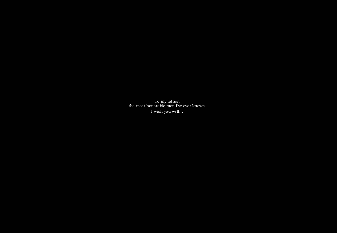To my father, the most honorable man I've ever known. I wish you well…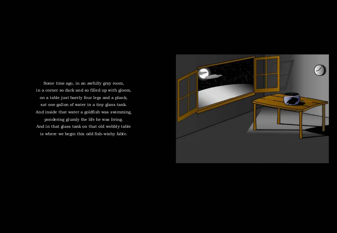Some time ago, in an awfully gray room, in a corner so dark and so filled up with gloom, on a table just barely four legs and a plank, sat one gallon of water in a tiny glass tank. And inside that water a goldfish was swimming, pondering glumly the life he was living. And in that glass tank on that old wobbly table is where we begin this odd fish-wishy fable.

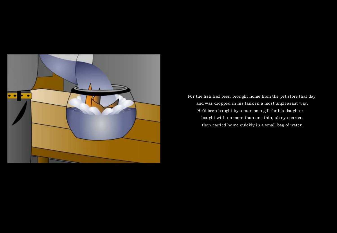

For the fish had been brought home from the pet store that day, and was dropped in his tank in a most unpleasant way. He'd been bought by a man as a gift for his daughter bought with no more than one thin, shiny quarter, then carried home quickly in a small bag of water.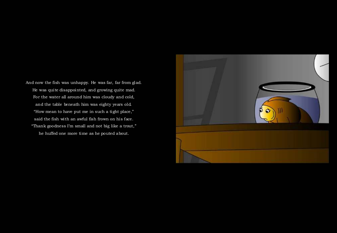And now the fish was unhappy. He was far, far from glad. He was quite disappointed, and growing quite mad. For the water all around him was cloudy and cold, and the table beneath him was eighty years old. "How mean to have put me in such a tight place," said the fish with an awful fish frown on his face."Thank goodness I'm small and not big like a trout," he huffed one more time as he pouted about.

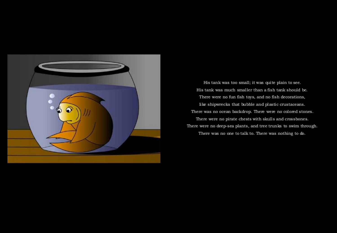

His tank was too small; it was quite plain to see. His tank was much smaller than a fish tank should be. There were no fun fish toys, and no fish decorations, like shipwrecks that bubble and plastic crustaceans. There was no ocean backdrop. There were no colored stones. There were no pirate chests with skulls and crossbones. There were no deep-sea plants, and tree trunks to swim through. There was no one to talk to. There was nothing to do.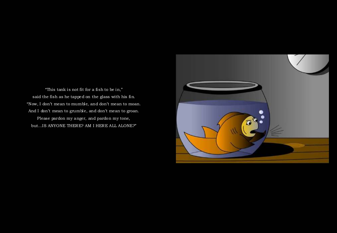"This tank is not fit for a fish to be in," said the fish as he tapped on the glass with his fin. "Now, I don't mean to mumble, and don't mean to moan. And I don't mean to grumble, and don't mean to groan. Please pardon my anger, and pardon my tone, but…IS ANYONE THERE? AM I HERE ALL ALONE?"

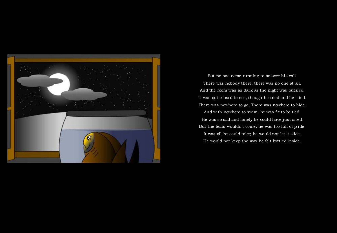

But no one came running to answer his call. There was nobody there; there was no one at all. And the room was as dark as the night was outside. It was quite hard to see, though he tried and he tried. There was nowhere to go. There was nowhere to hide.And with nowhere to swim, he was fit to be tied. He was so sad and lonely he could have just cried. But the tears wouldn't come; he was too full of pride. It was all he could take; he would not let it slide. He would not keep the way he felt bottled inside.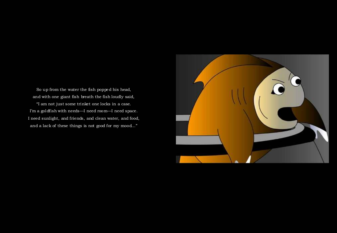So up from the water the fish popped his head, and with one giant fish breath the fish loudly said,

"I am not just some trinket one locks in a case. I'm a goldfish with needs—I need room—I need space.I need sunlight, and friends, and clean water, and food, and a lack of these things is not good for my mood…"

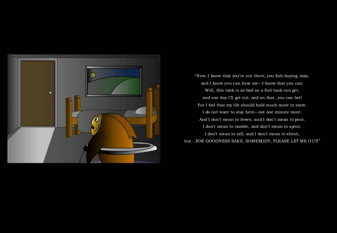

"Now, I know that you're out there, you fish-buying man, and I know you can hear me—I know that you can. Well, this tank is as bad as a fish tank can get, and one day I'll get out, and on that, you can bet!For I feel that my life should hold much more in store. I do not want to stay here—not one minute more. And I don't mean to frown, and I don't mean to pout. I don't mean to ramble, and don't mean to spout. I don't mean to yell, and I don't mean to shout, but…FOR GOODNESS SAKE, SOMEBODY, PLEASE LET ME OUT! "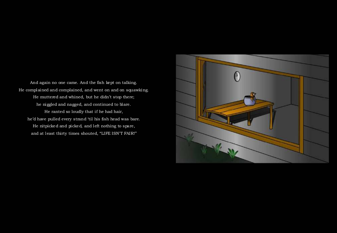And again no one came. And the fish kept on talking. He complained and complained, and went on and on squawking. He muttered and whined, but he didn't stop there; he niggled and nagged, and continued to blare. He ranted so loudly that if he had hair, he'd have pulled every strand 'til his fish head was bare. He nitpicked and picked, and left nothing to spare,and at least thirty times shouted, "LIFE ISN'T FAIR!"

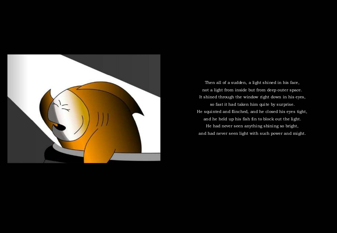

Then all of a sudden, a light shined in his face, not a light from inside but from deep outer space. It shined through the window right down in his eyes, so fast it had taken him quite by surprise. He squinted and flinched, and he closed his eyes tight, and he held up his fish fin to block out the light.He had never seen anything shining so bright, and had never seen light with such power and might.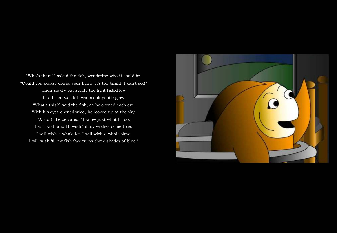"Who's there?" asked the fish, wondering who it could be. "Could you please dowse your light? It's too bright! I can't see!" Then slowly but surely the light faded low 'til all that was left was a soft gentle glow. "What's this?" said the fish, as he opened each eye. With his eyes opened wide, he looked up at the sky."A star!" he declared. "I know just what I'll do. I will wish and I'll wish 'til my wishes come true.I will wish a whole lot. I will wish a whole slew. I will wish 'til my fish face turns three shades of blue."

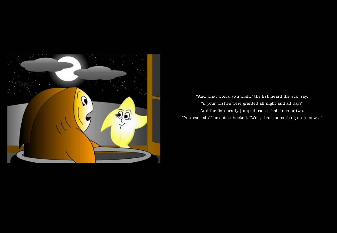

"And what would you wish," the fish heard the star say, "if your wishes were granted all night and all day?" And the fish nearly jumped back a half-inch or two."You can talk!" he said, shocked. "Well, that's something quite new..."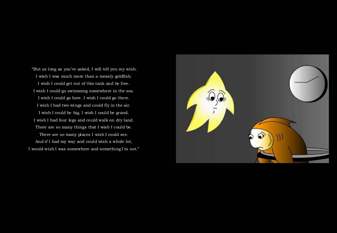"But as long as you've asked, I will tell you my wish. I wish I was much more than a measly goldfish. I wish I could get out of this tank and be free. I wish I could go swimming somewhere in the sea. I wish I could go here. I wish I could go there. I wish I had two wings and could fly in the air. I wish I could be big. I wish I could be grand. I wish I had four legs and could walk on dry land. There are so many things that I wish I could be. There are so many places I wish I could see. And if I had my way and could wish a whole lot, I would wish I was somewhere and something I'm not."

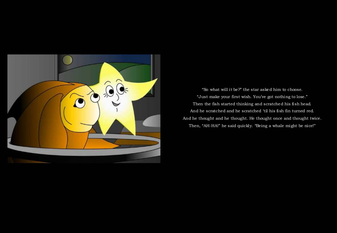

"So what will it be?" the star asked him to choose."Just make your first wish. You've got nothing to lose." Then the fish started thinking and scratched his fish head. And he scratched and he scratched 'til his fish fin turned red. And he thought and he thought. He thought once and thought twice. Then, "AH-HA!" he said quickly. "Being a whale might be nice!"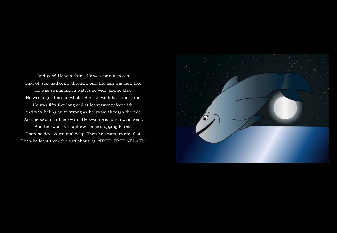And *poof*! He was there. He was far out to sea. That ol' star had come through, and the fish was now free.

He was swimming in waters so wide and so blue. He was a great ocean whale. His fish wish had come true.

He was fifty feet long and at least twenty feet wide, and was feeling quite strong as he swam through the tide. And he swam and he swam. He swam east and swam west.

And he swam without ever once stopping to rest. Then he dove down real deep. Then he swam up real fast. Then he leapt from the surf shouting, "FREE! FREE AT LAST!"

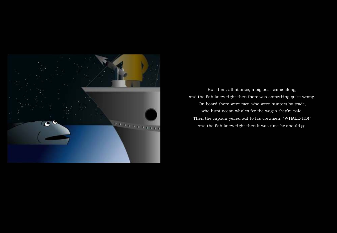

But then, all at once, a big boat came along, and the fish knew right then there was something quite wrong. On board there were men who were hunters by trade, who hunt ocean whales for the wages they're paid. Then the captain yelled out to his crewmen, "WHALE-HO!" And the fish knew right then it was time he should go.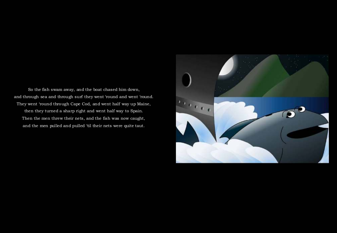So the fish swam away, and the boat chased him down, and through sea and through surf they went 'round and went 'round. They went 'round through Cape Cod, and went half way up Maine, then they turned a sharp right and went half way to Spain. Then the men threw their nets, and the fish was now caught, and the men pulled and pulled 'til their nets were quite taut.

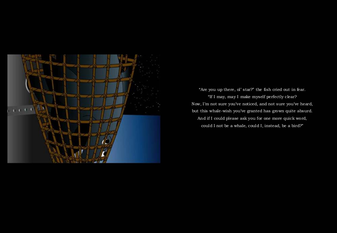

"Are you up there, ol' star?" the fish cried out in fear. "If I may, may I make myself perfectly clear? Now, I'm not sure you've noticed, and not sure you've heard, but this whale-wish you've granted has grown quite absurd. And if I could please ask you for one more quick word, could I not be a whale, could I, instead, be a bird?"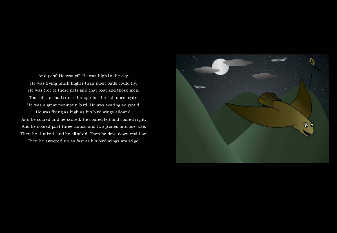And *poof!* He was off. He was high in the sky. He was flying much higher than most birds could fly. He was free of those nets and that boat and those men. That ol' star had come through for the fish once again. He was a great mountain bird. He was soaring so proud. He was flying as high as his bird wings allowed. And he soared and he soared. He soared left and soared right. And he soared past three clouds and two planes and one kite. Then he dimbed, and he climbed. Then he dove down real low.

Then he swooped up as fast as his bird wings would go.

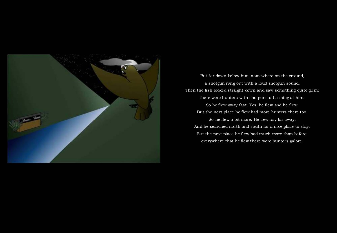

But far down below him, somewhere on the ground, a shotgun rang out with a loud shotgun sound. Then the fish looked straight down and saw something quite grim; there were hunters with shotguns all aiming at him.So he flew away fast. Yes, he flew and he flew. But the next place he flew had more hunters there too. So he flew a bit more. He flew far, far away. And he searched north and south for a nice place to stay. But the next place he flew had much more than before; everywhere that he flew there were hunters galore.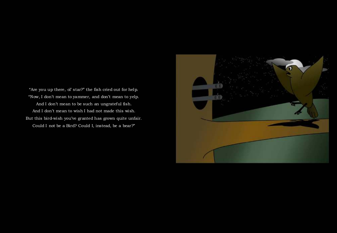"Are you up there, ol' star?" the fish cried out for help. "Now, I don't mean to yammer, and don't mean to yelp. And I don't mean to be such an ungrateful fish. And I don't mean to wish I had not made this wish. But this bird-wish you've granted has grown quite unfair. Could I not be a Bird? Could I, instead, be a bear?"

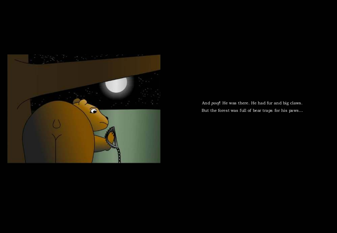

And *poof*! He was there. He had fur and big claws. But the forest was full of bear traps for his paws…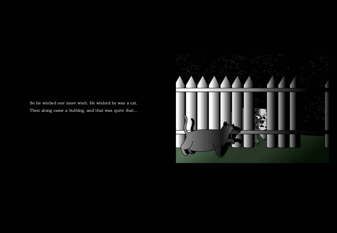So he wished one more wish. He wished he was a cat.Then along came a bulldog, and that was quite that…

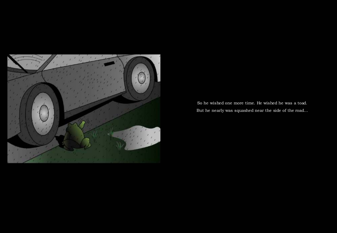

So he wished one more time. He wished he was a toad. But he nearly was squashed near the side of the road…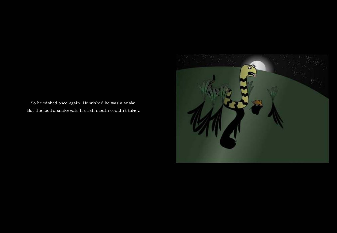So he wished once again. He wished he was a snake. But the food a snake eats his fish mouth couldn't take…

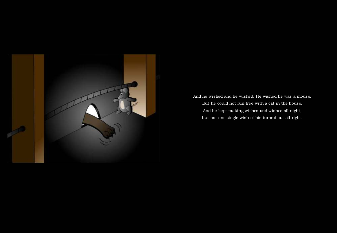

And he wished and he wished. He wished he was a mouse. But he could not run free with a cat in the house. And he kept making wishes and wishes all night, but not one single wish of his turned out all right.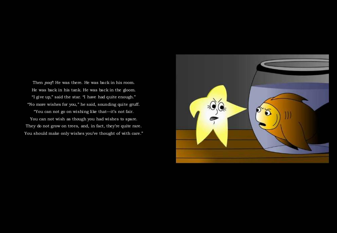Then *poof*! He was there. He was back in his room. He was back in his tank. He was back in the gloom. "I give up," said the star. "I have had quite enough." "No more wishes for you," he said, sounding quite gruff. "You can not go on wishing like that—it's not fair.You can not wish as though you had wishes to spare.They do not grow on trees, and, in fact, they're quite rare.

You should make only wishes you've thought of with care."

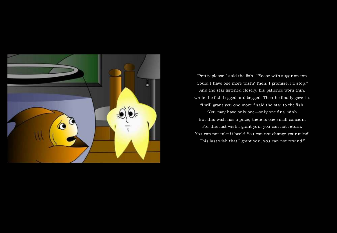

"Pretty please," said the fish. "Please with sugar on top. Could I have one more wish? Then, I promise, I'll stop." And the star listened closely, his patience worn thin, while the fish begged and begged. Then he finally gave in. "I will grant you one more," said the star to the fish.

"You may have only one—only one final wish. But this wish has a price; there is one small concern. For this last wish I grant you, you can not return.You can not take it back! You can not change your mind! This last wish that I grant you, you can not rewind!"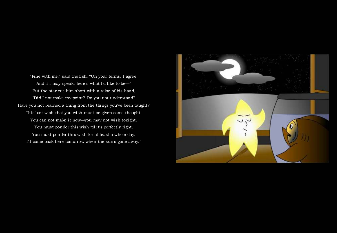"Fine with me," said the fish. "On your terms, I agree. And if I may speak, here's what I'd like to be—" But the star cut him short with a raise of his hand, "Did I not make my point? Do you not understand? Have you not learned a thing from the things you've been taught? This last wish that you wish must be given some thought. You can not make it now—you may not wish tonight. You must ponder this wish 'til it's perfectly right. You must ponder this wish for at least a whole day.I'll come back here tomorrow when the sun's gone away."

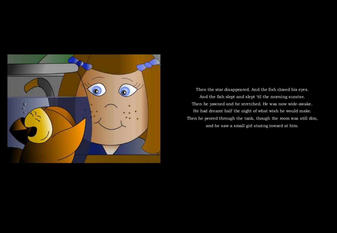

Then the star disappeared. And the fish closed his eyes. And the fish slept and slept 'til the morning sunrise. Then he yawned and he stretched. He was now wide-awake. He had dreamt half the night of what wish he would make. Then he peered through the tank, though the room was still dim, and he saw a small girl staring inward at him.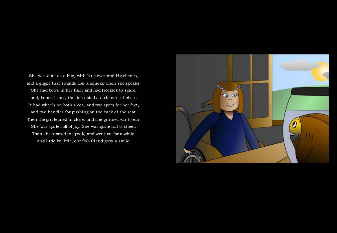She was cute as a bug, with blue eyes and big cheeks, and a giggle that sounds like a squeak when she speaks. She had bows in her hair, and had freckles to spare, and, beneath her, the fish spied an odd sort of chair. It had wheels on both sides, and two spots for her feet, and two handles for pushing on the back of the seat. Then the girl leaned in close, and she grinned ear to ear. She was quite full of joy. She was quite full of cheer. Then she started to speak, and went on for a while.And little by little, our fish friend grew a smile.

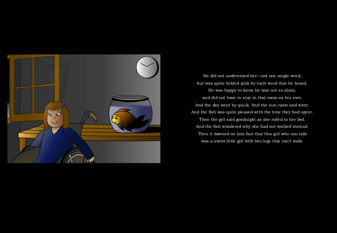

He did not understand her—not one single word, but was quite tickled pink by each word that he heard. He was happy to know he was not so alone, and did not have to stay in that room on his own. And the day went by quick. And the sun came and went. And the fish was quite pleased with the time they had spent. Then the girl said goodnight as she rolled to her bed. And the fish wondered why she had not walked instead. Then it dawned on him fast that this girl who can talk

was a sweet little girl with two legs that can't walk.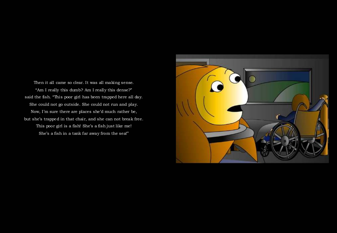Then it all came so clear. It was all making sense."Am I really this dumb? Am I really this dense?" said the fish. "This poor girl has been trapped here all day. She could not go outside. She could not run and play. Now, I'm sure there are places she'd much rather be, but she's trapped in that chair, and she can not break free. This poor girl is a fish! She's a fish just like me! She's a fish in a tank far away from the sea!"

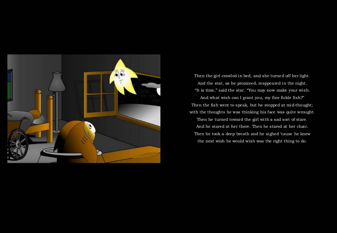

Then the girl crawled in bed, and she turned off her light. And the star, as he promised, reappeared in the night. "It is time," said the star. "You may now make your wish.

And what wish can I grant you, my fine fickle fish?" Then the fish went to speak, but he stopped at mid-thought; with the thoughts he was thinking his face was quite wrought. Then he turned toward the girl with a sad sort of stare. And he stared at her there. Then he stared at her chair. Then he took a deep breath and he sighed 'cause he knew the next wish he would wish was the right thing to do.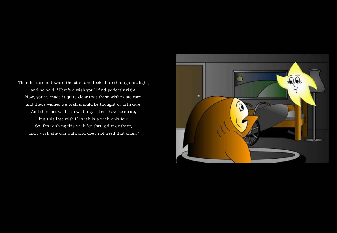Then he turned toward the star, and looked up through his light, and he said, "Here's a wish you'll find perfectly right. Now, you've made it quite clear that these wishes are rare, and these wishes we wish should be thought of with care. And this last wish I'm wishing, I don't have to spare, but this last wish I'll wish is a wish only fair. So, I'm wishing this wish for that girl over there,and I wish she can walk and does not need that chair."

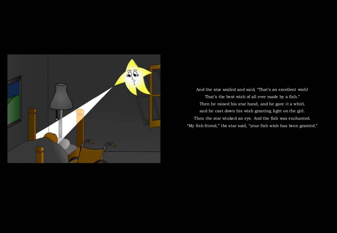

And the star smiled and said, "That's an excellent wish! That's the best wish of all ever made by a fish." Then he raised his star hand, and he gave it a whirl, and he cast down his wish granting light on the girl. Then the star winked an eye. And the fish was enchanted. "My fish friend," the star said, "your fish wish has been granted."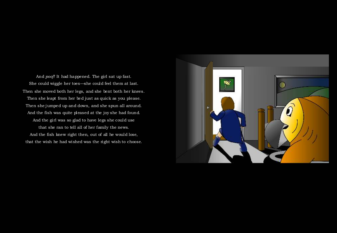And *poof!* It had happened. The girl sat up fast. She could wiggle her toes—she could feel them at last. Then she moved both her legs, and she bent both her knees. Then she leapt from her bed just as quick as you please. Then she jumped up and down, and she spun all around. And the fish was quite pleased at the joy she had found. And the girl was so glad to have legs she could usethat she ran to tell all of her family the news. And the fish knew right then, out of all he would lose, that the wish he had wished was the right wish to choose.

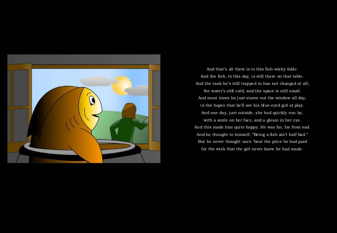

And that's all there is to this fish-wishy fable. And the fish, to this day, is still there on that table. And the tank he's still trapped in has not changed at all; the water's still cold, and the space is still small. And most times he just stares out the window all day, in the hopes that he'll see his blue-eyed girl at play. And one day, just outside, she had quickly run by, with a smile on her face, and a gleam in her eye. And this made him quite happy. He was far, far from sad. And he thought to himself, "Being a fish ain't half bad." But he never thought once 'bout the price he had paid for the wish that the girl never knew he had made.